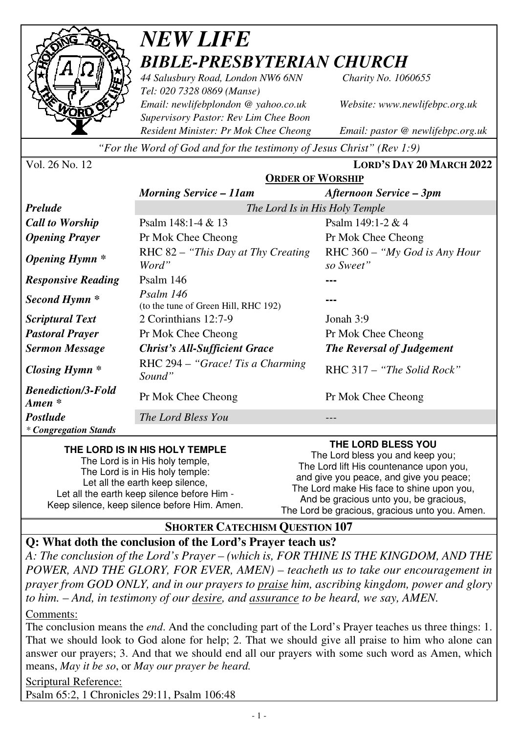

## *NEW LIFE BIBLE-PRESBYTERIAN CHURCH*

*44 Salusbury Road, London NW6 6NN Charity No. 1060655 Tel: 020 7328 0869 (Manse) Email: newlifebplondon @ yahoo.co.uk Website: www.newlifebpc.org.uk Supervisory Pastor: Rev Lim Chee Boon Resident Minister: Pr Mok Chee Cheong Email: pastor @ newlifebpc.org.uk* 

*"For the Word of God and for the testimony of Jesus Christ" (Rev 1:9)*

Vol. 26 No. 12 **LORD'S DAY 20 MARCH 2022**

|                                       | <b>ORDER OF WORSHIP</b>                           |                                              |
|---------------------------------------|---------------------------------------------------|----------------------------------------------|
|                                       | <b>Morning Service – 11am</b>                     | Afternoon Service – 3pm                      |
| <b>Prelude</b>                        | The Lord Is in His Holy Temple                    |                                              |
| <b>Call to Worship</b>                | Psalm $148:1-4 & 13$                              | Psalm $149:1-2 & 4$                          |
| <b>Opening Prayer</b>                 | Pr Mok Chee Cheong                                | Pr Mok Chee Cheong                           |
| <b>Opening Hymn</b> *                 | RHC 82 – "This Day at Thy Creating"<br>Word"      | RHC $360 - "My God is Any Hour$<br>so Sweet" |
| <b>Responsive Reading</b>             | Psalm $146$                                       |                                              |
| Second Hymn <sup>*</sup>              | Psalm 146<br>(to the tune of Green Hill, RHC 192) |                                              |
| <i>Scriptural Text</i>                | 2 Corinthians 12:7-9                              | Jonah 3:9                                    |
| <b>Pastoral Prayer</b>                | Pr Mok Chee Cheong                                | Pr Mok Chee Cheong                           |
| <b>Sermon Message</b>                 | <b>Christ's All-Sufficient Grace</b>              | <b>The Reversal of Judgement</b>             |
| Closing Hymn *                        | RHC $294 - "Grace!$ Tis a Charming<br>Sound"      | $RHC 317 - "The Solid Rock"$                 |
| <b>Benediction/3-Fold</b><br>Amen $*$ | Pr Mok Chee Cheong                                | Pr Mok Chee Cheong                           |
| <b>Postlude</b>                       | The Lord Bless You                                |                                              |
| <i>* Congregation Stands</i>          |                                                   |                                              |

#### **THE LORD IS IN HIS HOLY TEMPLE**

The Lord is in His holy temple, The Lord is in His holy temple: Let all the earth keep silence, Let all the earth keep silence before Him - Keep silence, keep silence before Him. Amen.

**THE LORD BLESS YOU**  The Lord bless you and keep you; The Lord lift His countenance upon you, and give you peace, and give you peace; The Lord make His face to shine upon you, And be gracious unto you, be gracious, The Lord be gracious, gracious unto you. Amen.

#### **SHORTER CATECHISM QUESTION 107**

### **Q: What doth the conclusion of the Lord's Prayer teach us?**

*A: The conclusion of the Lord's Prayer – (which is, FOR THINE IS THE KINGDOM, AND THE POWER, AND THE GLORY, FOR EVER, AMEN) – teacheth us to take our encouragement in prayer from GOD ONLY, and in our prayers to praise him, ascribing kingdom, power and glory to him. – And, in testimony of our desire, and assurance to be heard, we say, AMEN.* 

Comments:

The conclusion means the *end*. And the concluding part of the Lord's Prayer teaches us three things: 1. That we should look to God alone for help; 2. That we should give all praise to him who alone can answer our prayers; 3. And that we should end all our prayers with some such word as Amen, which means, *May it be so*, or *May our prayer be heard.*

Scriptural Reference: Psalm 65:2, 1 Chronicles 29:11, Psalm 106:48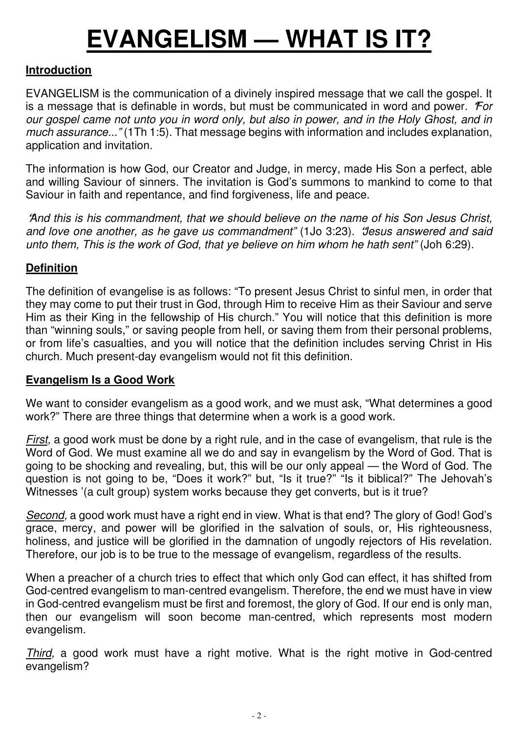# **EVANGELISM — WHAT IS IT?**

#### **Introduction**

EVANGELISM is the communication of a divinely inspired message that we call the gospel. It is a message that is definable in words, but must be communicated in word and power. **"***For our gospel came not unto you in word only, but also in power, and in the Holy Ghost, and in much assurance..."* (1Th 1:5). That message begins with information and includes explanation, application and invitation.

The information is how God, our Creator and Judge, in mercy, made His Son a perfect, able and willing Saviour of sinners. The invitation is God's summons to mankind to come to that Saviour in faith and repentance, and find forgiveness, life and peace.

**"***And this is his commandment, that we should believe on the name of his Son Jesus Christ, and love one another, as he gave us commandment"* (1Jo 3:23). **"***Jesus answered and said unto them, This is the work of God, that ye believe on him whom he hath sent"* (Joh 6:29).

#### **Definition**

The definition of evangelise is as follows: "To present Jesus Christ to sinful men, in order that they may come to put their trust in God, through Him to receive Him as their Saviour and serve Him as their King in the fellowship of His church." You will notice that this definition is more than "winning souls," or saving people from hell, or saving them from their personal problems, or from life's casualties, and you will notice that the definition includes serving Christ in His church. Much present-day evangelism would not fit this definition.

#### **Evangelism Is a Good Work**

We want to consider evangelism as a good work, and we must ask, "What determines a good work?" There are three things that determine when a work is a good work.

*First,* a good work must be done by a right rule, and in the case of evangelism, that rule is the Word of God. We must examine all we do and say in evangelism by the Word of God. That is going to be shocking and revealing, but, this will be our only appeal — the Word of God. The question is not going to be, "Does it work?" but, "Is it true?" "Is it biblical?" The Jehovah's Witnesses '(a cult group) system works because they get converts, but is it true?

*Second,* a good work must have a right end in view. What is that end? The glory of God! God's grace, mercy, and power will be glorified in the salvation of souls, or, His righteousness, holiness, and justice will be glorified in the damnation of ungodly rejectors of His revelation. Therefore, our job is to be true to the message of evangelism, regardless of the results.

When a preacher of a church tries to effect that which only God can effect, it has shifted from God-centred evangelism to man-centred evangelism. Therefore, the end we must have in view in God-centred evangelism must be first and foremost, the glory of God. If our end is only man, then our evangelism will soon become man-centred, which represents most modern evangelism.

*Third,* a good work must have a right motive. What is the right motive in God-centred evangelism?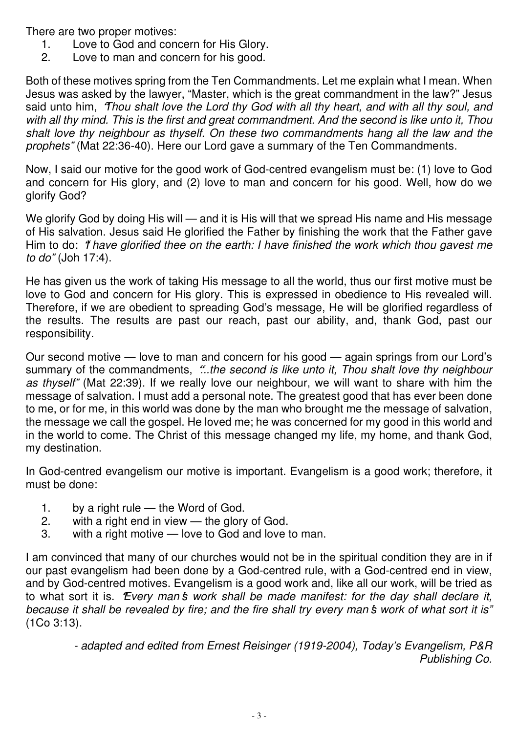There are two proper motives:

- 1. Love to God and concern for His Glory.
- 2. Love to man and concern for his good.

Both of these motives spring from the Ten Commandments. Let me explain what I mean. When Jesus was asked by the lawyer, "Master, which is the great commandment in the law?" Jesus said unto him, **"***Thou shalt love the Lord thy God with all thy heart, and with all thy soul, and with all thy mind. This is the first and great commandment. And the second is like unto it, Thou shalt love thy neighbour as thyself. On these two commandments hang all the law and the prophets"* (Mat 22:36-40). Here our Lord gave a summary of the Ten Commandments.

Now, I said our motive for the good work of God-centred evangelism must be: (1) love to God and concern for His glory, and (2) love to man and concern for his good. Well, how do we glorify God?

We glorify God by doing His will — and it is His will that we spread His name and His message of His salvation. Jesus said He glorified the Father by finishing the work that the Father gave Him to do: **"***I have glorified thee on the earth: I have finished the work which thou gavest me to do"* (Joh 17:4).

He has given us the work of taking His message to all the world, thus our first motive must be love to God and concern for His glory. This is expressed in obedience to His revealed will. Therefore, if we are obedient to spreading God's message, He will be glorified regardless of the results. The results are past our reach, past our ability, and, thank God, past our responsibility.

Our second motive — love to man and concern for his good — again springs from our Lord's summary of the commandments, **"***...the second is like unto it, Thou shalt love thy neighbour as thyself"* (Mat 22:39). If we really love our neighbour, we will want to share with him the message of salvation. I must add a personal note. The greatest good that has ever been done to me, or for me, in this world was done by the man who brought me the message of salvation, the message we call the gospel. He loved me; he was concerned for my good in this world and in the world to come. The Christ of this message changed my life, my home, and thank God, my destination.

In God-centred evangelism our motive is important. Evangelism is a good work; therefore, it must be done:

- 1. by a right rule the Word of God.
- 2. with a right end in view the glory of God.
- 3. with a right motive love to God and love to man.

I am convinced that many of our churches would not be in the spiritual condition they are in if our past evangelism had been done by a God-centred rule, with a God-centred end in view, and by God-centred motives. Evangelism is a good work and, like all our work, will be tried as to what sort it is. **"***Every man***'***s work shall be made manifest: for the day shall declare it, because it shall be revealed by fire; and the fire shall try every man* **'***s work of what sort it is"* (1Co 3:13).

> *- adapted and edited from Ernest Reisinger (1919-2004), Today's Evangelism, P&R Publishing Co.*